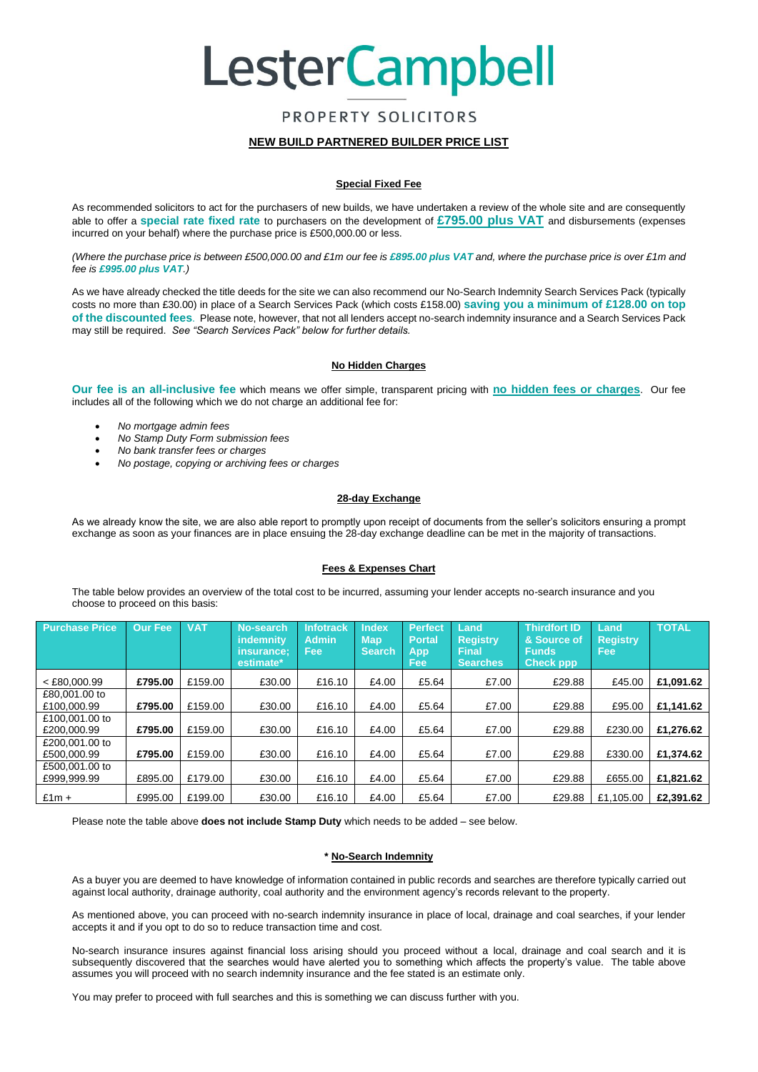## **LesterCampbell**

### PROPERTY SOLICITORS

### **NEW BUILD PARTNERED BUILDER PRICE LIST**

### **Special Fixed Fee**

As recommended solicitors to act for the purchasers of new builds, we have undertaken a review of the whole site and are consequently able to offer a **special rate fixed rate** to purchasers on the development of **£795.00 plus VAT** and disbursements (expenses incurred on your behalf) where the purchase price is £500,000.00 or less.

*(Where the purchase price is between £500,000.00 and £1m our fee is £895.00 plus VAT and, where the purchase price is over £1m and fee is £995.00 plus VAT.)*

As we have already checked the title deeds for the site we can also recommend our No-Search Indemnity Search Services Pack (typically costs no more than £30.00) in place of a Search Services Pack (which costs £158.00) **saving you a minimum of £128.00 on top of the discounted fees**. Please note, however, that not all lenders accept no-search indemnity insurance and a Search Services Pack may still be required. *See "Search Services Pack" below for further details.*

### **No Hidden Charges**

**Our fee is an all-inclusive fee** which means we offer simple, transparent pricing with **no hidden fees or charges**. Our fee includes all of the following which we do not charge an additional fee for:

- *No mortgage admin fees*
- *No Stamp Duty Form submission fees*
- *No bank transfer fees or charges*
- *No postage, copying or archiving fees or charges*

### **28-day Exchange**

As we already know the site, we are also able report to promptly upon receipt of documents from the seller's solicitors ensuring a prompt exchange as soon as your finances are in place ensuing the 28-day exchange deadline can be met in the majority of transactions.

### **Fees & Expenses Chart**

The table below provides an overview of the total cost to be incurred, assuming your lender accepts no-search insurance and you choose to proceed on this basis:

| <b>Purchase Price</b>         | <b>Our Fee</b> | <b>VAT</b> | No-search<br>indemnity<br>insurance:<br>estimate* | Infotrack<br><b>Admin</b><br><b>Fee</b> | <b>Index</b><br><b>Map</b><br><b>Search</b> | <b>Perfect</b><br><b>Portal</b><br>App<br>Fee | Land<br><b>Registry</b><br>Final<br><b>Searches</b> | Thirdfort ID<br>& Source of<br><b>Funds</b><br><b>Check ppp</b> | Land<br><b>Registry</b><br>Fee: | <b>TOTAL</b> |
|-------------------------------|----------------|------------|---------------------------------------------------|-----------------------------------------|---------------------------------------------|-----------------------------------------------|-----------------------------------------------------|-----------------------------------------------------------------|---------------------------------|--------------|
| $<$ £80,000.99                | £795.00        | £159.00    | £30.00                                            | £16.10                                  | £4.00                                       | £5.64                                         | £7.00                                               | £29.88                                                          | £45.00                          | £1,091.62    |
| £80,001,00 to<br>£100,000.99  | £795.00        | £159.00    | £30.00                                            | £16.10                                  | £4.00                                       | £5.64                                         | £7.00                                               | £29.88                                                          | £95.00                          | £1,141.62    |
| £100,001,00 to<br>£200,000.99 | £795.00        | £159.00    | £30.00                                            | £16.10                                  | £4.00                                       | £5.64                                         | £7.00                                               | £29.88                                                          | £230.00                         | £1,276.62    |
| £200,001,00 to<br>£500,000.99 | £795.00        | £159.00    | £30.00                                            | £16.10                                  | £4.00                                       | £5.64                                         | £7.00                                               | £29.88                                                          | £330.00                         | £1.374.62    |
| £500,001,00 to<br>£999.999.99 | £895.00        | £179.00    | £30.00                                            | £16.10                                  | £4.00                                       | £5.64                                         | £7.00                                               | £29.88                                                          | £655.00                         | £1,821.62    |
| $£1m +$                       | £995.00        | £199.00    | £30.00                                            | £16.10                                  | £4.00                                       | £5.64                                         | £7.00                                               | £29.88                                                          | £1.105.00                       | £2.391.62    |

Please note the table above **does not include Stamp Duty** which needs to be added – see below.

### **\* No-Search Indemnity**

As a buyer you are deemed to have knowledge of information contained in public records and searches are therefore typically carried out against local authority, drainage authority, coal authority and the environment agency's records relevant to the property.

As mentioned above, you can proceed with no-search indemnity insurance in place of local, drainage and coal searches, if your lender accepts it and if you opt to do so to reduce transaction time and cost.

No-search insurance insures against financial loss arising should you proceed without a local, drainage and coal search and it is subsequently discovered that the searches would have alerted you to something which affects the property's value. The table above assumes you will proceed with no search indemnity insurance and the fee stated is an estimate only.

You may prefer to proceed with full searches and this is something we can discuss further with you.